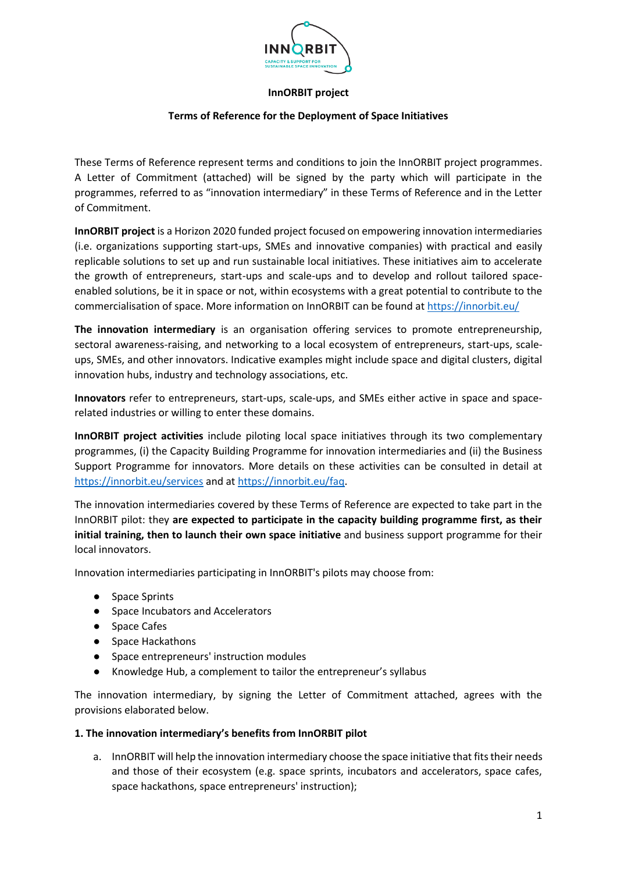

## **InnORBIT project**

## **Terms of Reference for the Deployment of Space Initiatives**

These Terms of Reference represent terms and conditions to join the InnORBIT project programmes. A Letter of Commitment (attached) will be signed by the party which will participate in the programmes, referred to as "innovation intermediary" in these Terms of Reference and in the Letter of Commitment.

**InnORBIT project** is a Horizon 2020 funded project focused on empowering innovation intermediaries (i.e. organizations supporting start-ups, SMEs and innovative companies) with practical and easily replicable solutions to set up and run sustainable local initiatives. These initiatives aim to accelerate the growth of entrepreneurs, start-ups and scale-ups and to develop and rollout tailored spaceenabled solutions, be it in space or not, within ecosystems with a great potential to contribute to the commercialisation of space. More information on InnORBIT can be found at<https://innorbit.eu/>

**The innovation intermediary** is an organisation offering services to promote entrepreneurship, sectoral awareness-raising, and networking to a local ecosystem of entrepreneurs, start-ups, scaleups, SMEs, and other innovators. Indicative examples might include space and digital clusters, digital innovation hubs, industry and technology associations, etc.

**Innovators** refer to entrepreneurs, start-ups, scale-ups, and SMEs either active in space and spacerelated industries or willing to enter these domains.

**InnORBIT project activities** include piloting local space initiatives through its two complementary programmes, (i) the Capacity Building Programme for innovation intermediaries and (ii) the Business Support Programme for innovators. More details on these activities can be consulted in detail at <https://innorbit.eu/services> and a[t https://innorbit.eu/faq.](https://innorbit.eu/faq)

The innovation intermediaries covered by these Terms of Reference are expected to take part in the InnORBIT pilot: they **are expected to participate in the capacity building programme first, as their initial training, then to launch their own space initiative** and business support programme for their local innovators.

Innovation intermediaries participating in InnORBIT's pilots may choose from:

- Space Sprints
- Space Incubators and Accelerators
- Space Cafes
- Space Hackathons
- Space entrepreneurs' instruction modules
- Knowledge Hub, a complement to tailor the entrepreneur's syllabus

The innovation intermediary, by signing the Letter of Commitment attached, agrees with the provisions elaborated below.

#### **1. The innovation intermediary's benefits from InnORBIT pilot**

a. InnORBIT will help the innovation intermediary choose the space initiative that fits their needs and those of their ecosystem (e.g. space sprints, incubators and accelerators, space cafes, space hackathons, space entrepreneurs' instruction);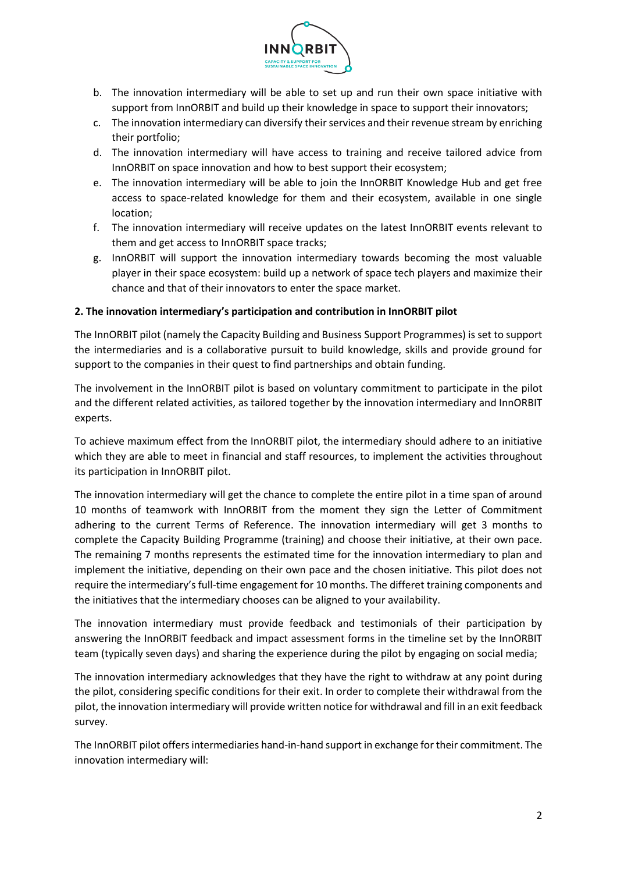

- b. The innovation intermediary will be able to set up and run their own space initiative with support from InnORBIT and build up their knowledge in space to support their innovators;
- c. The innovation intermediary can diversify their services and their revenue stream by enriching their portfolio;
- d. The innovation intermediary will have access to training and receive tailored advice from InnORBIT on space innovation and how to best support their ecosystem;
- e. The innovation intermediary will be able to join the InnORBIT Knowledge Hub and get free access to space-related knowledge for them and their ecosystem, available in one single location;
- f. The innovation intermediary will receive updates on the latest InnORBIT events relevant to them and get access to InnORBIT space tracks;
- g. InnORBIT will support the innovation intermediary towards becoming the most valuable player in their space ecosystem: build up a network of space tech players and maximize their chance and that of their innovators to enter the space market.

## **2. The innovation intermediary's participation and contribution in InnORBIT pilot**

The InnORBIT pilot (namely the Capacity Building and Business Support Programmes) is set to support the intermediaries and is a collaborative pursuit to build knowledge, skills and provide ground for support to the companies in their quest to find partnerships and obtain funding.

The involvement in the InnORBIT pilot is based on voluntary commitment to participate in the pilot and the different related activities, as tailored together by the innovation intermediary and InnORBIT experts.

To achieve maximum effect from the InnORBIT pilot, the intermediary should adhere to an initiative which they are able to meet in financial and staff resources, to implement the activities throughout its participation in InnORBIT pilot.

The innovation intermediary will get the chance to complete the entire pilot in a time span of around 10 months of teamwork with InnORBIT from the moment they sign the Letter of Commitment adhering to the current Terms of Reference. The innovation intermediary will get 3 months to complete the Capacity Building Programme (training) and choose their initiative, at their own pace. The remaining 7 months represents the estimated time for the innovation intermediary to plan and implement the initiative, depending on their own pace and the chosen initiative. This pilot does not require the intermediary's full-time engagement for 10 months. The differet training components and the initiatives that the intermediary chooses can be aligned to your availability.

The innovation intermediary must provide feedback and testimonials of their participation by answering the InnORBIT feedback and impact assessment forms in the timeline set by the InnORBIT team (typically seven days) and sharing the experience during the pilot by engaging on social media;

The innovation intermediary acknowledges that they have the right to withdraw at any point during the pilot, considering specific conditions for their exit. In order to complete their withdrawal from the pilot, the innovation intermediary will provide written notice for withdrawal and fill in an exit feedback survey.

The InnORBIT pilot offers intermediaries hand-in-hand support in exchange for their commitment. The innovation intermediary will: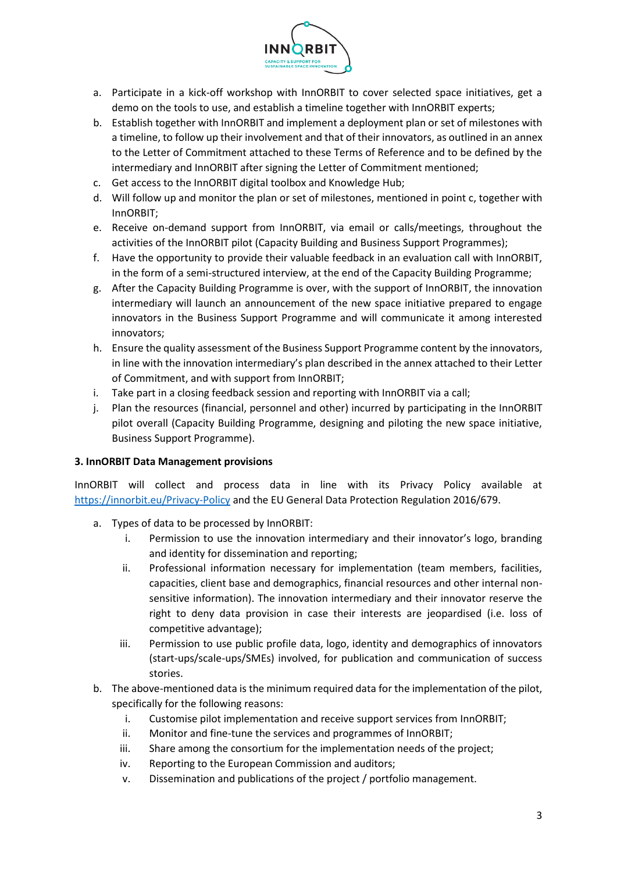

- a. Participate in a kick-off workshop with InnORBIT to cover selected space initiatives, get a demo on the tools to use, and establish a timeline together with InnORBIT experts;
- b. Establish together with InnORBIT and implement a deployment plan or set of milestones with a timeline, to follow up their involvement and that of their innovators, as outlined in an annex to the Letter of Commitment attached to these Terms of Reference and to be defined by the intermediary and InnORBIT after signing the Letter of Commitment mentioned;
- c. Get access to the InnORBIT digital toolbox and Knowledge Hub;
- d. Will follow up and monitor the plan or set of milestones, mentioned in point c, together with InnORBIT;
- e. Receive on-demand support from InnORBIT, via email or calls/meetings, throughout the activities of the InnORBIT pilot (Capacity Building and Business Support Programmes);
- f. Have the opportunity to provide their valuable feedback in an evaluation call with InnORBIT, in the form of a semi-structured interview, at the end of the Capacity Building Programme;
- g. After the Capacity Building Programme is over, with the support of InnORBIT, the innovation intermediary will launch an announcement of the new space initiative prepared to engage innovators in the Business Support Programme and will communicate it among interested innovators;
- h. Ensure the quality assessment of the Business Support Programme content by the innovators, in line with the innovation intermediary's plan described in the annex attached to their Letter of Commitment, and with support from InnORBIT;
- i. Take part in a closing feedback session and reporting with InnORBIT via a call;
- j. Plan the resources (financial, personnel and other) incurred by participating in the InnORBIT pilot overall (Capacity Building Programme, designing and piloting the new space initiative, Business Support Programme).

#### **3. InnORBIT Data Management provisions**

InnORBIT will collect and process data in line with its Privacy Policy available at <https://innorbit.eu/Privacy-Policy> and the EU General Data Protection Regulation 2016/679.

- a. Types of data to be processed by InnORBIT:
	- i. Permission to use the innovation intermediary and their innovator's logo, branding and identity for dissemination and reporting;
	- ii. Professional information necessary for implementation (team members, facilities, capacities, client base and demographics, financial resources and other internal nonsensitive information). The innovation intermediary and their innovator reserve the right to deny data provision in case their interests are jeopardised (i.e. loss of competitive advantage);
	- iii. Permission to use public profile data, logo, identity and demographics of innovators (start-ups/scale-ups/SMEs) involved, for publication and communication of success stories.
- b. The above-mentioned data is the minimum required data for the implementation of the pilot, specifically for the following reasons:
	- i. Customise pilot implementation and receive support services from InnORBIT;
	- ii. Monitor and fine-tune the services and programmes of InnORBIT;
	- iii. Share among the consortium for the implementation needs of the project;
	- iv. Reporting to the European Commission and auditors;
	- v. Dissemination and publications of the project / portfolio management.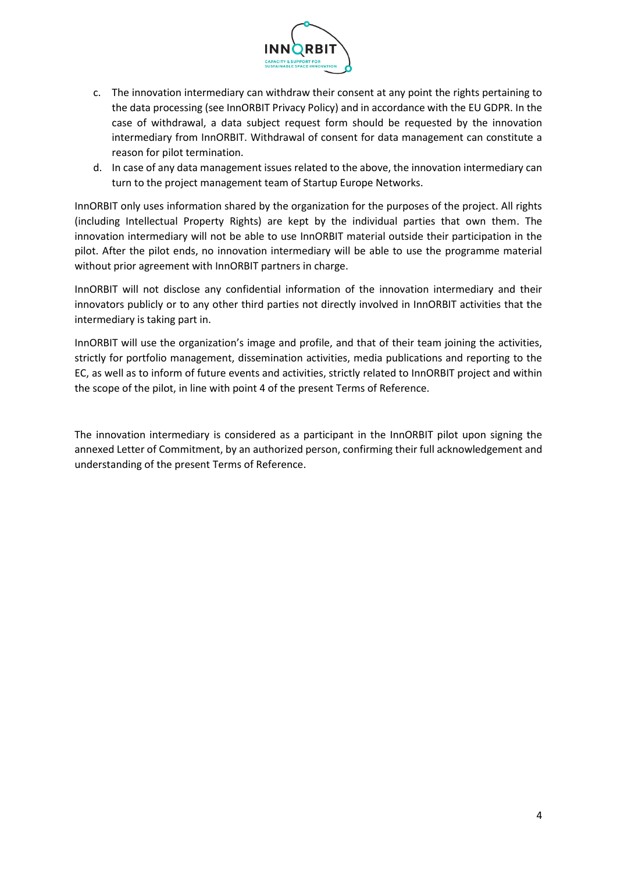

- c. The innovation intermediary can withdraw their consent at any point the rights pertaining to the data processing (see InnORBIT Privacy Policy) and in accordance with the EU GDPR. In the case of withdrawal, a data subject request form should be requested by the innovation intermediary from InnORBIT. Withdrawal of consent for data management can constitute a reason for pilot termination.
- d. In case of any data management issues related to the above, the innovation intermediary can turn to the project management team of Startup Europe Networks.

InnORBIT only uses information shared by the organization for the purposes of the project. All rights (including Intellectual Property Rights) are kept by the individual parties that own them. The innovation intermediary will not be able to use InnORBIT material outside their participation in the pilot. After the pilot ends, no innovation intermediary will be able to use the programme material without prior agreement with InnORBIT partners in charge.

InnORBIT will not disclose any confidential information of the innovation intermediary and their innovators publicly or to any other third parties not directly involved in InnORBIT activities that the intermediary is taking part in.

InnORBIT will use the organization's image and profile, and that of their team joining the activities, strictly for portfolio management, dissemination activities, media publications and reporting to the EC, as well as to inform of future events and activities, strictly related to InnORBIT project and within the scope of the pilot, in line with point 4 of the present Terms of Reference.

The innovation intermediary is considered as a participant in the InnORBIT pilot upon signing the annexed Letter of Commitment, by an authorized person, confirming their full acknowledgement and understanding of the present Terms of Reference.